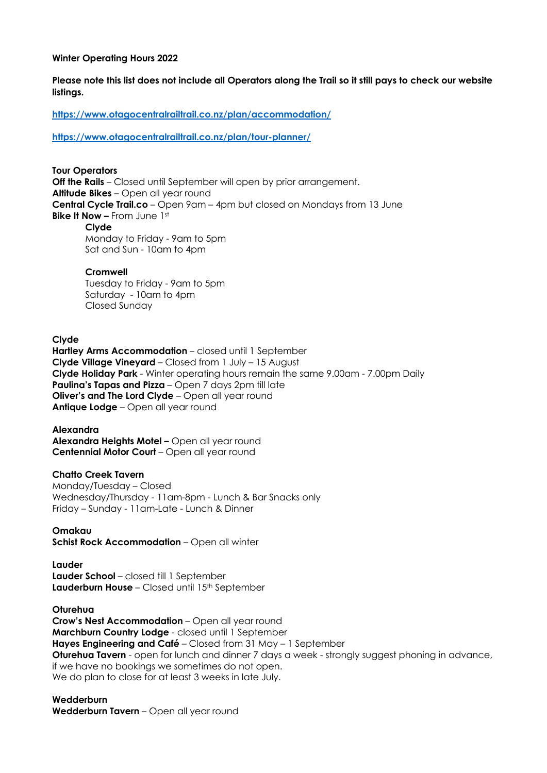### **Winter Operating Hours 2022**

**Please note this list does not include all Operators along the Trail so it still pays to check our website listings.**

**https://www.otagocentralrailtrail.co.nz/plan/accommodation/**

**https://www.otagocentralrailtrail.co.nz/plan/tour-planner/**

### **Tour Operators**

**Off the Rails** – Closed until September will open by prior arrangement. **Altitude Bikes** – Open all year round **Central Cycle Trail.co** – Open 9am – 4pm but closed on Mondays from 13 June **Bike It Now –** From June 1st

### **Clyde**

Monday to Friday - 9am to 5pm Sat and Sun - 10am to 4pm

### **Cromwell**

Tuesday to Friday - 9am to 5pm Saturday - 10am to 4pm Closed Sunday

**Clyde Hartley Arms Accommodation** – closed until 1 September **Clyde Village Vineyard** – Closed from 1 July – 15 August **Clyde Holiday Park** - Winter operating hours remain the same 9.00am - 7.00pm Daily **Paulina's Tapas and Pizza** – Open 7 days 2pm till late **Oliver's and The Lord Clyde** – Open all year round **Antique Lodge** – Open all year round

**Alexandra Alexandra Heights Motel –** Open all year round **Centennial Motor Court** – Open all year round

## **Chatto Creek Tavern**

Monday/Tuesday – Closed Wednesday/Thursday - 11am-8pm - Lunch & Bar Snacks only Friday – Sunday - 11am-Late - Lunch & Dinner

## **Omakau**

**Schist Rock Accommodation** – Open all winter

# **Lauder**

**Lauder School** – closed till 1 September **Lauderburn House** – Closed until 15th September

**Oturehua** 

**Crow's Nest Accommodation** – Open all year round **Marchburn Country Lodge** - closed until 1 September **Hayes Engineering and Café** – Closed from 31 May – 1 September **Oturehua Tavern** - open for lunch and dinner 7 days a week - strongly suggest phoning in advance, if we have no bookings we sometimes do not open. We do plan to close for at least 3 weeks in late July.

**Wedderburn Wedderburn Tavern** – Open all year round